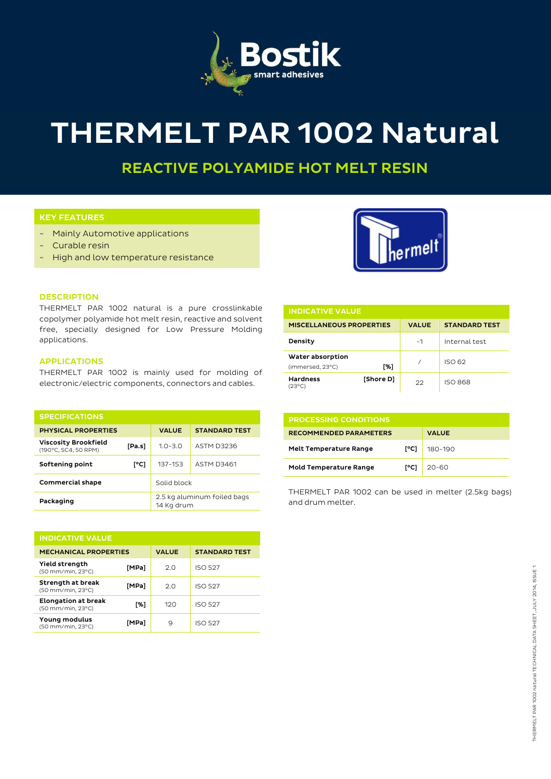

# THERMELT PAR 1002 Natural

REACTIVE POLYAMIDE HOT MELT RESIN

# KEY FEATURES

- Mainly Automotive applications
- Curable resin
- High and low temperature resistance



### **DESCRIPTION**

THERMELT PAR 1002 natural is a pure crosslinkable copolymer polyamide hot melt resin, reactive and solvent free, specially designed for Low Pressure Molding applications.

# APPLICATIONS

THERMELT PAR 1002 is mainly used for molding of electronic/electric components, connectors and cables.

| <b>SPECIFICATIONS</b>                               |        |                                           |                      |
|-----------------------------------------------------|--------|-------------------------------------------|----------------------|
| <b>PHYSICAL PROPERTIES</b>                          |        | <b>VALUE</b>                              | <b>STANDARD TEST</b> |
| <b>Viscosity Brookfield</b><br>(190°C, SC4, 50 RPM) | [Pa.s] | $1.0 - 3.0$                               | ASTM D3236           |
| Softening point                                     | [°C]   | 137-153                                   | <b>ASTM D3461</b>    |
| <b>Commercial shape</b>                             |        | Solid block                               |                      |
| Packaging                                           |        | 2.5 kg aluminum foiled bags<br>14 Kg drum |                      |

| <b>INDICATIVE VALUE</b>                         |       |              |                      |  |  |
|-------------------------------------------------|-------|--------------|----------------------|--|--|
| <b>MECHANICAL PROPERTIES</b>                    |       | <b>VALUE</b> | <b>STANDARD TEST</b> |  |  |
| Yield strength<br>(50 mm/min, 23°C)             | [MPa] | 2.0          | <b>ISO 527</b>       |  |  |
| Strength at break<br>(50 mm/min, 23°C)          | [MPa] | 2.0          | <b>ISO 527</b>       |  |  |
| <b>Elongation at break</b><br>(50 mm/min, 23°C) | [%]   | 120          | <b>ISO 527</b>       |  |  |
| Young modulus<br>(50 mm/min, 23°C)              | [MPa] | 9            | <b>ISO 527</b>       |  |  |

| <b>INDICATIVE VALUE</b>              |           |              |                      |  |  |
|--------------------------------------|-----------|--------------|----------------------|--|--|
| <b>MISCELLANEOUS PROPERTIES</b>      |           | <b>VALUE</b> | <b>STANDARD TEST</b> |  |  |
| Density                              |           | ~1~          | Internal test        |  |  |
| Water absorption<br>(immersed, 23°C) | [%]       |              | <b>ISO 62</b>        |  |  |
| <b>Hardness</b><br>(23°C)            | [Shore D] | つつ           | <b>ISO 868</b>       |  |  |

| <b>PROCESSING CONDITIONS</b>  |                |              |  |  |
|-------------------------------|----------------|--------------|--|--|
| <b>RECOMMENDED PARAMETERS</b> |                | <b>VALUE</b> |  |  |
| <b>Melt Temperature Range</b> | $I^{\circ}$ C1 | 180-190      |  |  |
| <b>Mold Temperature Range</b> | r°C1           | $20 - 60$    |  |  |

THERMELT PAR 1002 can be used in melter (2.5kg bags) and drum melter.